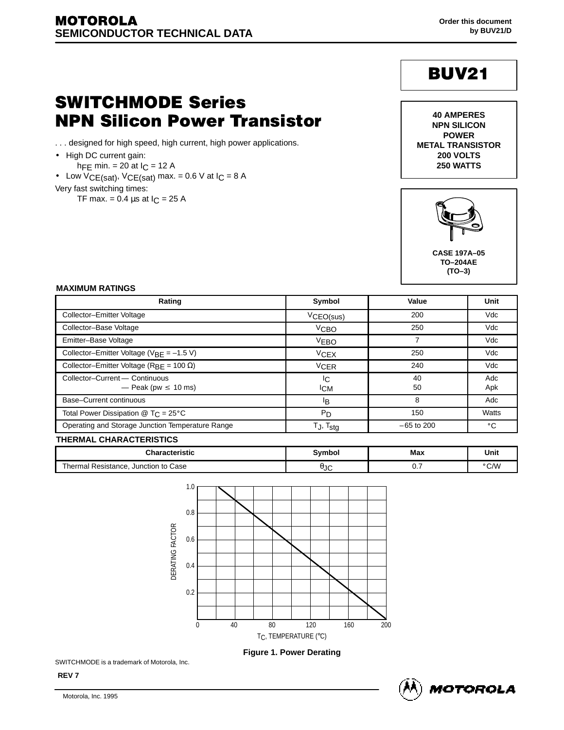# **BUV21**

## **SWITCHMODE Series NPN Silicon Power Transistor**

- . . . designed for high speed, high current, high power applications.
- High DC current gain:
- hFE min.  $= 20$  at  $I_C = 12$  A
- Low  $VCE(sat)$ ,  $VCE(sat)$  max. = 0.6 V at  $IC = 8$  A
- Very fast switching times:

TF max. =  $0.4 \mu s$  at  $I_C = 25 \text{ A}$ 





 te de la construction de la construction de la construction de la construction de la construction de la construction de la construction de la construction de la construction de la construction de la construction de la con te de la construction de la construction de la construction de la construction de la construction de la construction de la construction de la construction de la construction de la construction de la construction de la con te de la construction de la construction de la construction de la construction de la construction de la constru **CASE 197A–05 TO–204AE (TO–3)**

#### 

|                                                            |                          |              | (TO-3)       |
|------------------------------------------------------------|--------------------------|--------------|--------------|
| <b>MAXIMUM RATINGS</b>                                     |                          |              |              |
| Rating                                                     | Symbol                   | Value        | Unit         |
| Collector-Emitter Voltage                                  | VCEO(sus)                | 200          | Vdc          |
| Collector-Base Voltage                                     | V <sub>CBO</sub>         | 250          | Vdc          |
| Emitter-Base Voltage                                       | V <sub>EBO</sub>         |              | Vdc          |
| Collector-Emitter Voltage ( $V_{BE} = -1.5 V$ )            | <b>VCEX</b>              | 250          | Vdc          |
| Collector-Emitter Voltage ( $R_{BE}$ = 100 $\Omega$ )      | <sup>V</sup> CER         | 240          | Vdc          |
| Collector-Current - Continuous<br>— Peak (pw $\leq 10$ ms) | IC.<br><sup>I</sup> CM   | 40<br>50     | Adc<br>Apk   |
| Base-Current continuous                                    | ΙB.                      | 8            | Adc          |
| Total Power Dissipation $@$ T <sub>C</sub> = 25°C          | P <sub>D</sub>           | 150          | Watts        |
| Operating and Storage Junction Temperature Range           | $T_J$ , $T_{\text{stg}}$ | $-65$ to 200 | $^{\circ}$ C |

| Unit<br>Characteristic<br>Мах<br>Symbol<br>°C/W<br>, Junction to Case<br>Thermal Resistance,<br>H1C<br>JU | <b>THERMAL CHARACTERISTICS</b> |  |  |
|-----------------------------------------------------------------------------------------------------------|--------------------------------|--|--|
|                                                                                                           |                                |  |  |
|                                                                                                           |                                |  |  |



**Figure 1. Power Derating**

SWITCHMODE is a trademark of Motorola, Inc.

**REV 7**

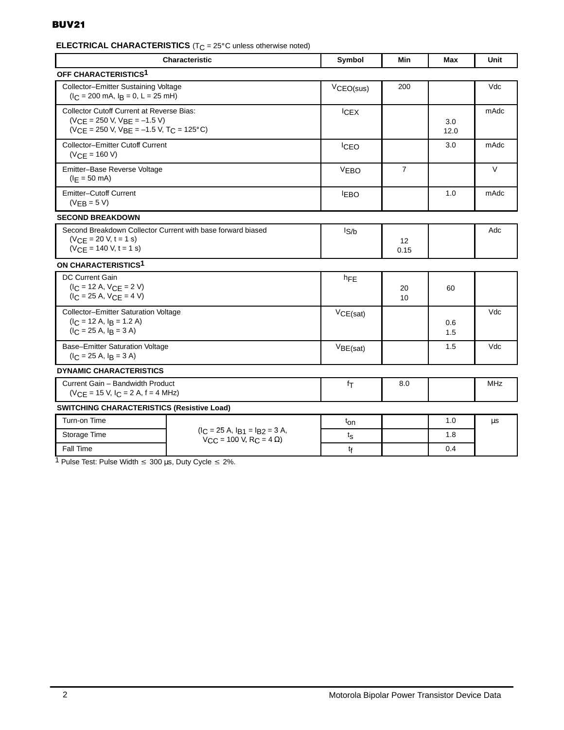### **BUV21**

### **ELECTRICAL CHARACTERISTICS** ( $T_C = 25^\circ$ C unless otherwise noted)

| <b>Characteristic</b>                                                                                                          | Symbol                                                                   | Min              | Max            | Unit       |            |
|--------------------------------------------------------------------------------------------------------------------------------|--------------------------------------------------------------------------|------------------|----------------|------------|------------|
| OFF CHARACTERISTICS1                                                                                                           |                                                                          |                  |                |            |            |
| Collector-Emitter Sustaining Voltage<br>$I_C = 200$ mA, $I_R = 0$ , L = 25 mH)                                                 |                                                                          | VCEO(sus)        | 200            |            | Vdc        |
| <b>Collector Cutoff Current at Reverse Bias:</b><br>$(VCE = 250 V, VBE = -1.5 V)$<br>$(VCE = 250 V, VBE = -1.5 V, TC = 125°C)$ | <b>ICEX</b>                                                              |                  | 3.0<br>12.0    | mAdc       |            |
| <b>Collector-Emitter Cutoff Current</b><br>$(VCE = 160 V)$                                                                     |                                                                          | <b>ICEO</b>      |                | 3.0        | mAdc       |
| Emitter-Base Reverse Voltage<br>$(I_F = 50 \text{ mA})$                                                                        |                                                                          | <b>VEBO</b>      | $\overline{7}$ |            | V          |
| <b>Emitter-Cutoff Current</b><br>$(VEB = 5 V)$                                                                                 |                                                                          | <b>IEBO</b>      |                | 1.0        | mAdc       |
| <b>SECOND BREAKDOWN</b>                                                                                                        |                                                                          |                  |                |            |            |
| Second Breakdown Collector Current with base forward biased<br>$(VCE = 20 V, t = 1 s)$<br>$(VCE = 140 V, t = 1 s)$             |                                                                          | l <sub>S/b</sub> | 12<br>0.15     |            | Adc        |
| ON CHARACTERISTICS <sup>1</sup>                                                                                                |                                                                          |                  |                |            |            |
| <b>DC Current Gain</b><br>$(I_C = 12 A, V_{CE} = 2 V)$<br>$(IC = 25 A, VCE = 4 V)$                                             |                                                                          | hFE              | 20<br>10       | 60         |            |
| Collector-Emitter Saturation Voltage<br>$(IC = 12 A, IB = 1.2 A)$<br>$(IC = 25 A, IB = 3 A)$                                   |                                                                          | VCE(sat)         |                | 0.6<br>1.5 | Vdc        |
| Base-Emitter Saturation Voltage<br>$(I_C = 25 A, I_B = 3 A)$                                                                   |                                                                          | $V_{BE(sat)}$    |                | 1.5        | Vdc        |
| <b>DYNAMIC CHARACTERISTICS</b>                                                                                                 |                                                                          |                  |                |            |            |
| Current Gain - Bandwidth Product<br>$(VCF = 15 V, ICF = 2 A, f = 4 MHz)$                                                       |                                                                          | $f_{\text{T}}$   | 8.0            |            | <b>MHz</b> |
| <b>SWITCHING CHARACTERISTICS (Resistive Load)</b>                                                                              |                                                                          |                  |                |            |            |
| Turn-on Time                                                                                                                   |                                                                          | t <sub>on</sub>  |                | 1.0        | μs         |
| Storage Time                                                                                                                   | $(IC = 25 A, IB1 = IB2 = 3 A,$<br>$V_{C}$ = 100 V, R <sub>C</sub> = 4 Ω) | $t_{\rm S}$      |                | 1.8        |            |
| Fall Time                                                                                                                      |                                                                          | tf               |                | 0.4        |            |

1 Pulse Test: Pulse Width  $\leq 300 \,\mu s$ , Duty Cycle  $\leq 2\%$ .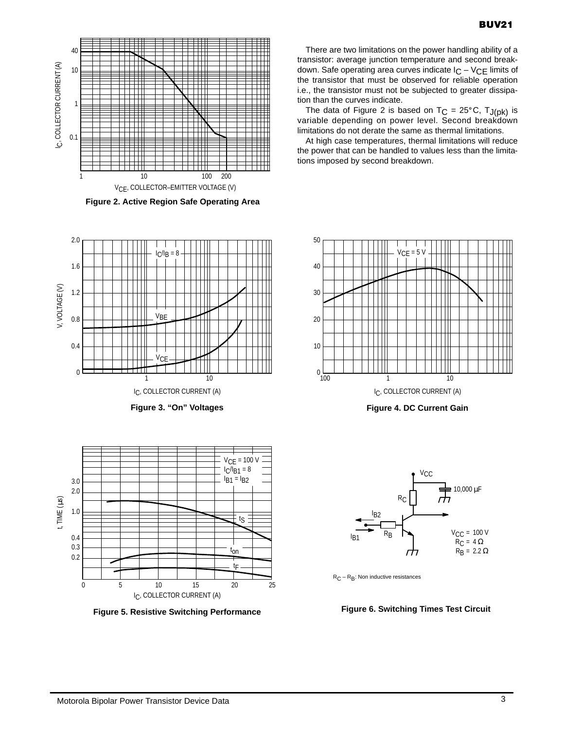

**Figure 2. Active Region Safe Operating Area**





**Figure 5. Resistive Switching Performance**

There are two limitations on the power handling ability of a transistor: average junction temperature and second breakdown. Safe operating area curves indicate  $I_C - V_{CE}$  limits of the transistor that must be observed for reliable operation i.e., the transistor must not be subjected to greater dissipation than the curves indicate.

The data of Figure 2 is based on  $T_C = 25^{\circ}C$ ,  $T_{J(pk)}$  is variable depending on power level. Second breakdown limitations do not derate the same as thermal limitations.

At high case temperatures, thermal limitations will reduce the power that can be handled to values less than the limitations imposed by second breakdown.



**Figure 3. "On" Voltages Figure 4. DC Current Gain**



 $R_C - R_B$ : Non inductive resistances

#### **Figure 6. Switching Times Test Circuit**